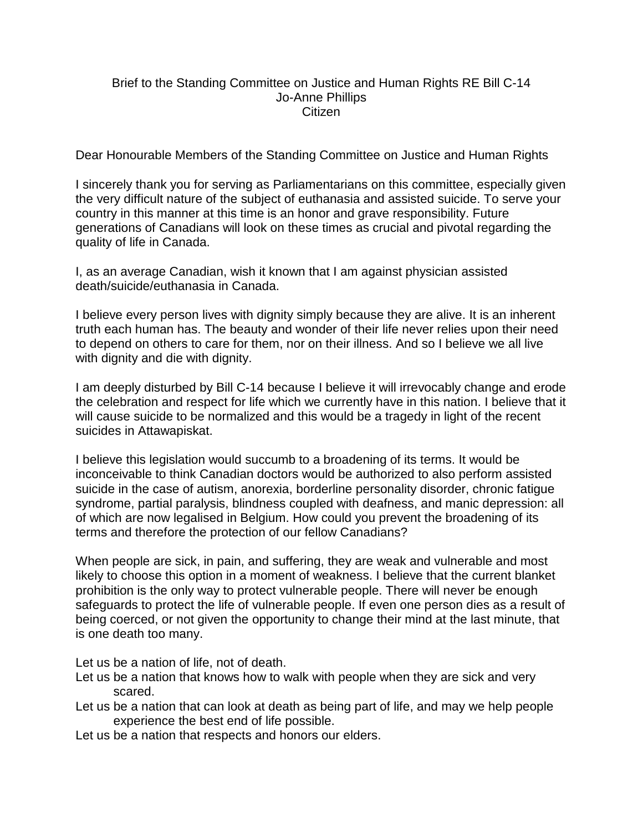## Brief to the Standing Committee on Justice and Human Rights RE Bill C-14 Jo-Anne Phillips Citizen

Dear Honourable Members of the Standing Committee on Justice and Human Rights

I sincerely thank you for serving as Parliamentarians on this committee, especially given the very difficult nature of the subject of euthanasia and assisted suicide. To serve your country in this manner at this time is an honor and grave responsibility. Future generations of Canadians will look on these times as crucial and pivotal regarding the quality of life in Canada.

I, as an average Canadian, wish it known that I am against physician assisted death/suicide/euthanasia in Canada.

I believe every person lives with dignity simply because they are alive. It is an inherent truth each human has. The beauty and wonder of their life never relies upon their need to depend on others to care for them, nor on their illness. And so I believe we all live with dignity and die with dignity.

I am deeply disturbed by Bill C-14 because I believe it will irrevocably change and erode the celebration and respect for life which we currently have in this nation. I believe that it will cause suicide to be normalized and this would be a tragedy in light of the recent suicides in Attawapiskat.

I believe this legislation would succumb to a broadening of its terms. It would be inconceivable to think Canadian doctors would be authorized to also perform assisted suicide in the case of autism, anorexia, borderline personality disorder, chronic fatigue syndrome, partial paralysis, blindness coupled with deafness, and manic depression: all of which are now legalised in Belgium. How could you prevent the broadening of its terms and therefore the protection of our fellow Canadians?

When people are sick, in pain, and suffering, they are weak and vulnerable and most likely to choose this option in a moment of weakness. I believe that the current blanket prohibition is the only way to protect vulnerable people. There will never be enough safeguards to protect the life of vulnerable people. If even one person dies as a result of being coerced, or not given the opportunity to change their mind at the last minute, that is one death too many.

Let us be a nation of life, not of death.

- Let us be a nation that knows how to walk with people when they are sick and very scared.
- Let us be a nation that can look at death as being part of life, and may we help people experience the best end of life possible.
- Let us be a nation that respects and honors our elders.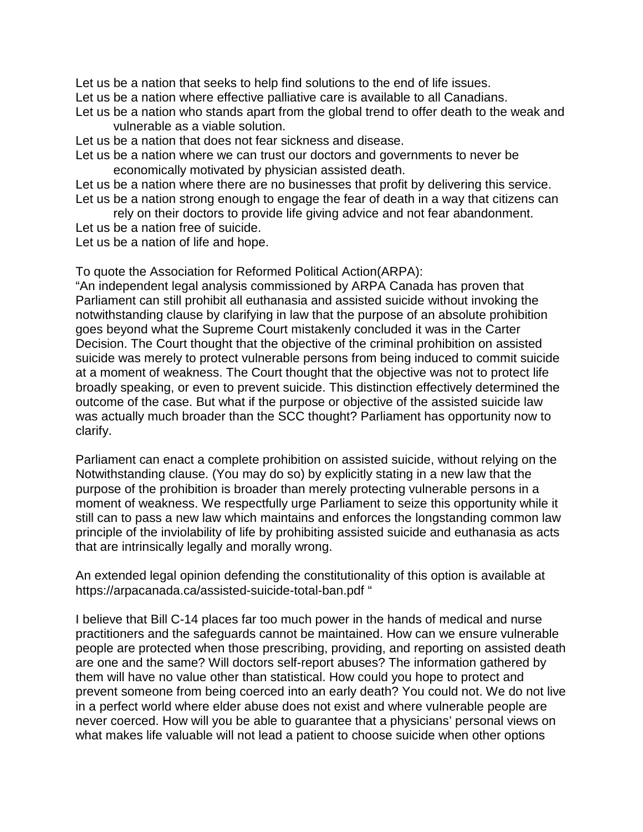Let us be a nation that seeks to help find solutions to the end of life issues.

Let us be a nation where effective palliative care is available to all Canadians.

Let us be a nation who stands apart from the global trend to offer death to the weak and vulnerable as a viable solution.

Let us be a nation that does not fear sickness and disease.

Let us be a nation where we can trust our doctors and governments to never be economically motivated by physician assisted death.

Let us be a nation where there are no businesses that profit by delivering this service. Let us be a nation strong enough to engage the fear of death in a way that citizens can

rely on their doctors to provide life giving advice and not fear abandonment.

Let us be a nation free of suicide.

Let us be a nation of life and hope.

To quote the Association for Reformed Political Action(ARPA):

"An independent legal analysis commissioned by ARPA Canada has proven that Parliament can still prohibit all euthanasia and assisted suicide without invoking the notwithstanding clause by clarifying in law that the purpose of an absolute prohibition goes beyond what the Supreme Court mistakenly concluded it was in the Carter Decision. The Court thought that the objective of the criminal prohibition on assisted suicide was merely to protect vulnerable persons from being induced to commit suicide at a moment of weakness. The Court thought that the objective was not to protect life broadly speaking, or even to prevent suicide. This distinction effectively determined the outcome of the case. But what if the purpose or objective of the assisted suicide law was actually much broader than the SCC thought? Parliament has opportunity now to clarify.

Parliament can enact a complete prohibition on assisted suicide, without relying on the Notwithstanding clause. (You may do so) by explicitly stating in a new law that the purpose of the prohibition is broader than merely protecting vulnerable persons in a moment of weakness. We respectfully urge Parliament to seize this opportunity while it still can to pass a new law which maintains and enforces the longstanding common law principle of the inviolability of life by prohibiting assisted suicide and euthanasia as acts that are intrinsically legally and morally wrong.

An extended legal opinion defending the constitutionality of this option is available at https://arpacanada.ca/assisted-suicide-total-ban.pdf "

I believe that Bill C-14 places far too much power in the hands of medical and nurse practitioners and the safeguards cannot be maintained. How can we ensure vulnerable people are protected when those prescribing, providing, and reporting on assisted death are one and the same? Will doctors self-report abuses? The information gathered by them will have no value other than statistical. How could you hope to protect and prevent someone from being coerced into an early death? You could not. We do not live in a perfect world where elder abuse does not exist and where vulnerable people are never coerced. How will you be able to guarantee that a physicians' personal views on what makes life valuable will not lead a patient to choose suicide when other options